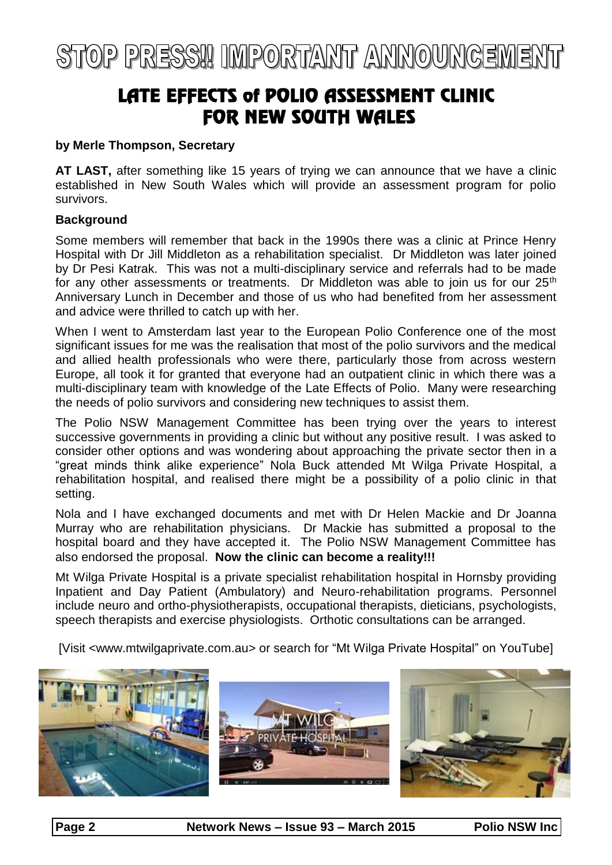# STOP PRESS!! IMPORTANT ANNOUNCEMENT

### LATE EFFECTS of POLIO ASSESSMENT CLINIC **FOR NEW SOUTH WALES**

#### **by Merle Thompson, Secretary**

**AT LAST,** after something like 15 years of trying we can announce that we have a clinic established in New South Wales which will provide an assessment program for polio survivors.

#### **Background**

Some members will remember that back in the 1990s there was a clinic at Prince Henry Hospital with Dr Jill Middleton as a rehabilitation specialist. Dr Middleton was later joined by Dr Pesi Katrak. This was not a multi-disciplinary service and referrals had to be made for any other assessments or treatments. Dr Middleton was able to join us for our 25<sup>th</sup> Anniversary Lunch in December and those of us who had benefited from her assessment and advice were thrilled to catch up with her.

When I went to Amsterdam last year to the European Polio Conference one of the most significant issues for me was the realisation that most of the polio survivors and the medical and allied health professionals who were there, particularly those from across western Europe, all took it for granted that everyone had an outpatient clinic in which there was a multi-disciplinary team with knowledge of the Late Effects of Polio. Many were researching the needs of polio survivors and considering new techniques to assist them.

The Polio NSW Management Committee has been trying over the years to interest successive governments in providing a clinic but without any positive result. I was asked to consider other options and was wondering about approaching the private sector then in a "great minds think alike experience" Nola Buck attended Mt Wilga Private Hospital, a rehabilitation hospital, and realised there might be a possibility of a polio clinic in that setting.

Nola and I have exchanged documents and met with Dr Helen Mackie and Dr Joanna Murray who are rehabilitation physicians. Dr Mackie has submitted a proposal to the hospital board and they have accepted it. The Polio NSW Management Committee has also endorsed the proposal. **Now the clinic can become a reality!!!**

Mt Wilga Private Hospital is a private specialist rehabilitation hospital in Hornsby providing Inpatient and Day Patient (Ambulatory) and Neuro-rehabilitation programs. Personnel include neuro and ortho-physiotherapists, occupational therapists, dieticians, psychologists, speech therapists and exercise physiologists. Orthotic consultations can be arranged.

[Visit <www.mtwilgaprivate.com.au> or search for "Mt Wilga Private Hospital" on YouTube]

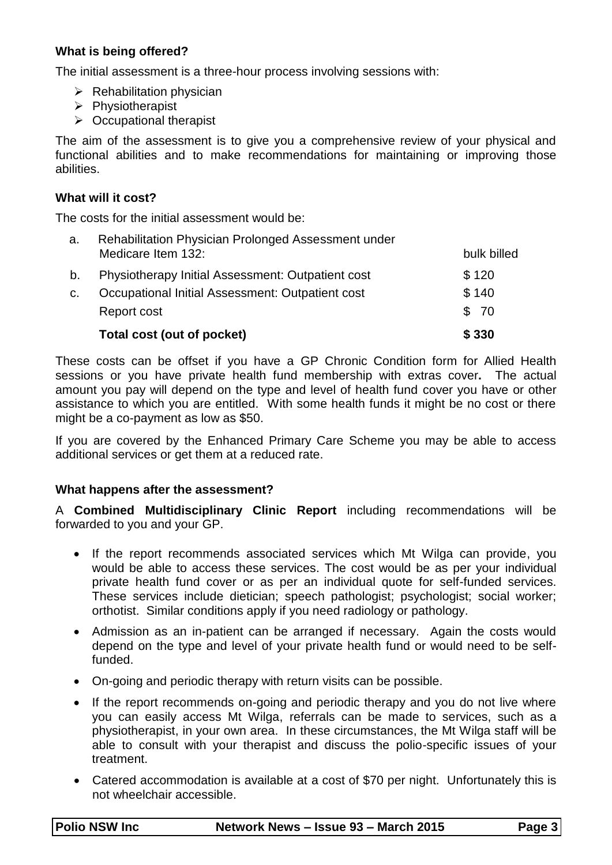#### **What is being offered?**

The initial assessment is a three-hour process involving sessions with:

- $\triangleright$  Rehabilitation physician
- $\triangleright$  Physiotherapist
- $\triangleright$  Occupational therapist

The aim of the assessment is to give you a comprehensive review of your physical and functional abilities and to make recommendations for maintaining or improving those abilities.

#### **What will it cost?**

The costs for the initial assessment would be:

| a. | Rehabilitation Physician Prolonged Assessment under |             |
|----|-----------------------------------------------------|-------------|
|    | Medicare Item 132:                                  | bulk billed |
| b. | Physiotherapy Initial Assessment: Outpatient cost   | \$120       |
| C. | Occupational Initial Assessment: Outpatient cost    | \$140       |
|    | Report cost                                         | \$ 70       |
|    | Total cost (out of pocket)                          | \$330       |

These costs can be offset if you have a GP Chronic Condition form for Allied Health sessions or you have private health fund membership with extras cover**.** The actual amount you pay will depend on the type and level of health fund cover you have or other assistance to which you are entitled. With some health funds it might be no cost or there might be a co-payment as low as \$50.

If you are covered by the Enhanced Primary Care Scheme you may be able to access additional services or get them at a reduced rate.

#### **What happens after the assessment?**

A **Combined Multidisciplinary Clinic Report** including recommendations will be forwarded to you and your GP.

- If the report recommends associated services which Mt Wilga can provide, you would be able to access these services. The cost would be as per your individual private health fund cover or as per an individual quote for self-funded services. These services include dietician; speech pathologist; psychologist; social worker; orthotist. Similar conditions apply if you need radiology or pathology.
- Admission as an in-patient can be arranged if necessary. Again the costs would depend on the type and level of your private health fund or would need to be selffunded.
- On-going and periodic therapy with return visits can be possible.
- If the report recommends on-going and periodic therapy and you do not live where you can easily access Mt Wilga, referrals can be made to services, such as a physiotherapist, in your own area. In these circumstances, the Mt Wilga staff will be able to consult with your therapist and discuss the polio-specific issues of your treatment.
- Catered accommodation is available at a cost of \$70 per night. Unfortunately this is not wheelchair accessible.